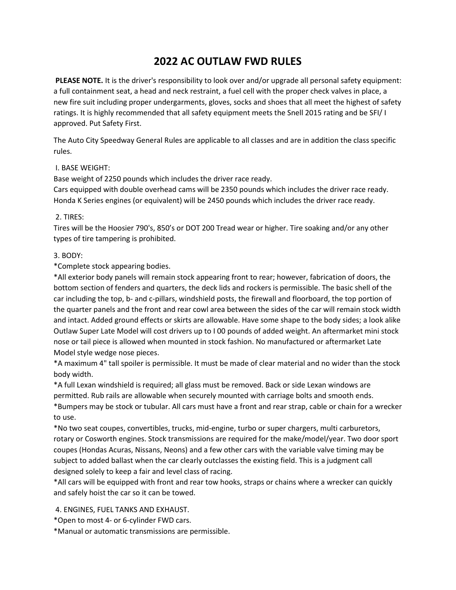# **2022 AC OUTLAW FWD RULES**

**PLEASE NOTE.** It is the driver's responsibility to look over and/or upgrade all personal safety equipment: a full containment seat, a head and neck restraint, a fuel cell with the proper check valves in place, a new fire suit including proper undergarments, gloves, socks and shoes that all meet the highest of safety ratings. It is highly recommended that all safety equipment meets the Snell 2015 rating and be SFI/ I approved. Put Safety First.

The Auto City Speedway General Rules are applicable to all classes and are in addition the class specific rules.

# I. BASE WEIGHT:

Base weight of 2250 pounds which includes the driver race ready.

Cars equipped with double overhead cams will be 2350 pounds which includes the driver race ready. Honda K Series engines (or equivalent) will be 2450 pounds which includes the driver race ready.

# 2. TIRES:

Tires will be the Hoosier 790's, 850's or DOT 200 Tread wear or higher. Tire soaking and/or any other types of tire tampering is prohibited.

# 3. BODY:

\*Complete stock appearing bodies.

\*All exterior body panels will remain stock appearing front to rear; however, fabrication of doors, the bottom section of fenders and quarters, the deck lids and rockers is permissible. The basic shell of the car including the top, b- and c-pillars, windshield posts, the firewall and floorboard, the top portion of the quarter panels and the front and rear cowl area between the sides of the car will remain stock width and intact. Added ground effects or skirts are allowable. Have some shape to the body sides; a look alike Outlaw Super Late Model will cost drivers up to I 00 pounds of added weight. An aftermarket mini stock nose or tail piece is allowed when mounted in stock fashion. No manufactured or aftermarket Late Model style wedge nose pieces.

\*A maximum 4" tall spoiler is permissible. It must be made of clear material and no wider than the stock body width.

\*A full Lexan windshield is required; all glass must be removed. Back or side Lexan windows are permitted. Rub rails are allowable when securely mounted with carriage bolts and smooth ends. \*Bumpers may be stock or tubular. All cars must have a front and rear strap, cable or chain for a wrecker to use.

\*No two seat coupes, convertibles, trucks, mid-engine, turbo or super chargers, multi carburetors, rotary or Cosworth engines. Stock transmissions are required for the make/model/year. Two door sport coupes (Hondas Acuras, Nissans, Neons) and a few other cars with the variable valve timing may be subject to added ballast when the car clearly outclasses the existing field. This is a judgment call designed solely to keep a fair and level class of racing.

\*All cars will be equipped with front and rear tow hooks, straps or chains where a wrecker can quickly and safely hoist the car so it can be towed.

4. ENGINES, FUEL TANKS AND EXHAUST.

\*Open to most 4- or 6-cylinder FWD cars.

\*Manual or automatic transmissions are permissible.